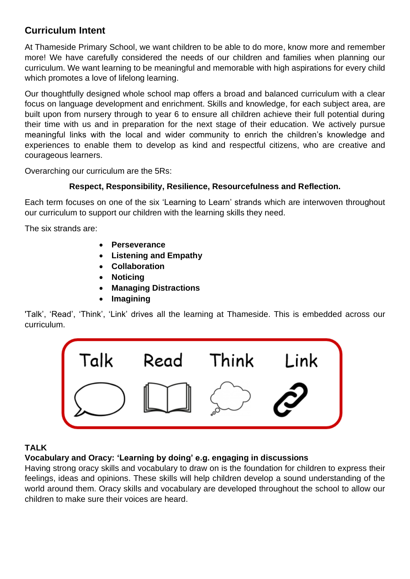# **Curriculum Intent**

At Thameside Primary School, we want children to be able to do more, know more and remember more! We have carefully considered the needs of our children and families when planning our curriculum. We want learning to be meaningful and memorable with high aspirations for every child which promotes a love of lifelong learning.

Our thoughtfully designed whole school map offers a broad and balanced curriculum with a clear focus on language development and enrichment. Skills and knowledge, for each subject area, are built upon from nursery through to year 6 to ensure all children achieve their full potential during their time with us and in preparation for the next stage of their education. We actively pursue meaningful links with the local and wider community to enrich the children's knowledge and experiences to enable them to develop as kind and respectful citizens, who are creative and courageous learners.

Overarching our curriculum are the 5Rs:

## **Respect, Responsibility, Resilience, Resourcefulness and Reflection.**

Each term focuses on one of the six 'Learning to Learn' strands which are interwoven throughout our curriculum to support our children with the learning skills they need.

The six strands are:

- **Perseverance**
- **Listening and Empathy**
- **Collaboration**
- **Noticing**
- **Managing Distractions**
- **Imagining**

'Talk', 'Read', 'Think', 'Link' drives all the learning at Thameside. This is embedded across our curriculum.



## **TALK**

## **Vocabulary and Oracy: 'Learning by doing' e.g. engaging in discussions**

Having strong oracy skills and vocabulary to draw on is the foundation for children to express their feelings, ideas and opinions. These skills will help children develop a sound understanding of the world around them. Oracy skills and vocabulary are developed throughout the school to allow our children to make sure their voices are heard.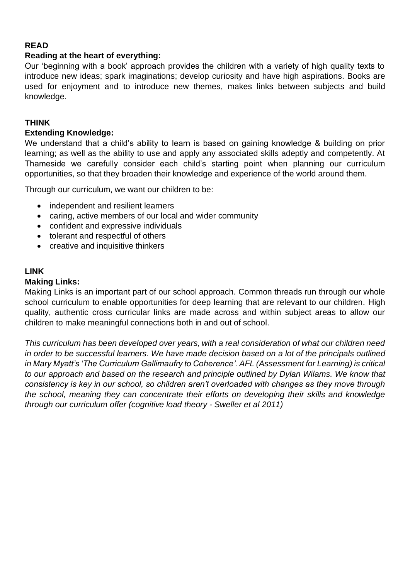## **READ**

## **Reading at the heart of everything:**

Our 'beginning with a book' approach provides the children with a variety of high quality texts to introduce new ideas; spark imaginations; develop curiosity and have high aspirations. Books are used for enjoyment and to introduce new themes, makes links between subjects and build knowledge.

## **THINK**

## **Extending Knowledge:**

We understand that a child's ability to learn is based on gaining knowledge & building on prior learning; as well as the ability to use and apply any associated skills adeptly and competently. At Thameside we carefully consider each child's starting point when planning our curriculum opportunities, so that they broaden their knowledge and experience of the world around them.

Through our curriculum, we want our children to be:

- independent and resilient learners
- caring, active members of our local and wider community
- confident and expressive individuals
- tolerant and respectful of others
- creative and inquisitive thinkers

### **LINK**

### **Making Links:**

Making Links is an important part of our school approach. Common threads run through our whole school curriculum to enable opportunities for deep learning that are relevant to our children. High quality, authentic cross curricular links are made across and within subject areas to allow our children to make meaningful connections both in and out of school.

*This curriculum has been developed over years, with a real consideration of what our children need in order to be successful learners. We have made decision based on a lot of the principals outlined in Mary Myatt's 'The Curriculum Gallimaufry to Coherence'. AFL (Assessment for Learning) is critical to our approach and based on the research and principle outlined by Dylan Wilams. We know that consistency is key in our school, so children aren't overloaded with changes as they move through the school, meaning they can concentrate their efforts on developing their skills and knowledge through our curriculum offer (cognitive load theory - Sweller et al 2011)*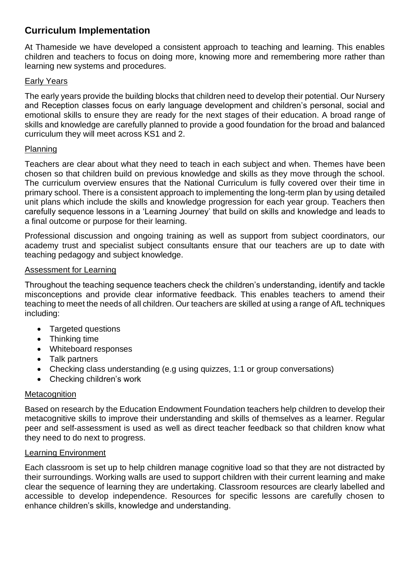## **Curriculum Implementation**

At Thameside we have developed a consistent approach to teaching and learning. This enables children and teachers to focus on doing more, knowing more and remembering more rather than learning new systems and procedures.

## Early Years

The early years provide the building blocks that children need to develop their potential. Our Nursery and Reception classes focus on early language development and children's personal, social and emotional skills to ensure they are ready for the next stages of their education. A broad range of skills and knowledge are carefully planned to provide a good foundation for the broad and balanced curriculum they will meet across KS1 and 2.

## Planning

Teachers are clear about what they need to teach in each subject and when. Themes have been chosen so that children build on previous knowledge and skills as they move through the school. The curriculum overview ensures that the National Curriculum is fully covered over their time in primary school. There is a consistent approach to implementing the long-term plan by using detailed unit plans which include the skills and knowledge progression for each year group. Teachers then carefully sequence lessons in a 'Learning Journey' that build on skills and knowledge and leads to a final outcome or purpose for their learning.

Professional discussion and ongoing training as well as support from subject coordinators, our academy trust and specialist subject consultants ensure that our teachers are up to date with teaching pedagogy and subject knowledge.

### Assessment for Learning

Throughout the teaching sequence teachers check the children's understanding, identify and tackle misconceptions and provide clear informative feedback. This enables teachers to amend their teaching to meet the needs of all children. Our teachers are skilled at using a range of AfL techniques including:

- Targeted questions
- Thinking time
- Whiteboard responses
- Talk partners
- Checking class understanding (e.g using quizzes, 1:1 or group conversations)
- Checking children's work

### **Metacognition**

Based on research by the Education Endowment Foundation teachers help children to develop their metacognitive skills to improve their understanding and skills of themselves as a learner. Regular peer and self-assessment is used as well as direct teacher feedback so that children know what they need to do next to progress.

### Learning Environment

Each classroom is set up to help children manage cognitive load so that they are not distracted by their surroundings. Working walls are used to support children with their current learning and make clear the sequence of learning they are undertaking. Classroom resources are clearly labelled and accessible to develop independence. Resources for specific lessons are carefully chosen to enhance children's skills, knowledge and understanding.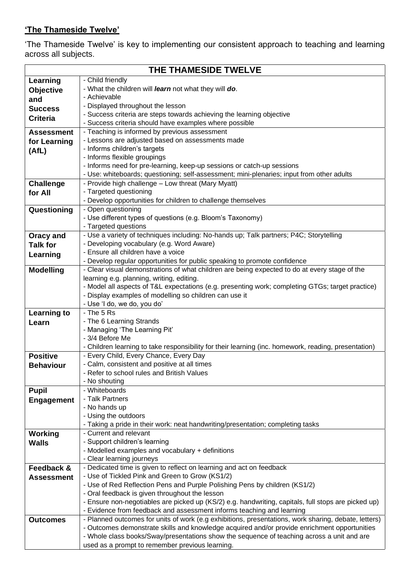## **'The Thameside Twelve'**

'The Thameside Twelve' is key to implementing our consistent approach to teaching and learning across all subjects.

| THE THAMESIDE TWELVE |                                                                                                                                                 |
|----------------------|-------------------------------------------------------------------------------------------------------------------------------------------------|
| Learning             | - Child friendly                                                                                                                                |
| <b>Objective</b>     | - What the children will learn not what they will do.                                                                                           |
| and                  | - Achievable                                                                                                                                    |
| <b>Success</b>       | - Displayed throughout the lesson                                                                                                               |
| <b>Criteria</b>      | - Success criteria are steps towards achieving the learning objective                                                                           |
|                      | - Success criteria should have examples where possible                                                                                          |
| <b>Assessment</b>    | - Teaching is informed by previous assessment                                                                                                   |
| for Learning         | - Lessons are adjusted based on assessments made                                                                                                |
| (AtL)                | - Informs children's targets                                                                                                                    |
|                      | - Informs flexible groupings                                                                                                                    |
|                      | - Informs need for pre-learning, keep-up sessions or catch-up sessions                                                                          |
|                      | - Use: whiteboards; questioning; self-assessment; mini-plenaries; input from other adults<br>- Provide high challenge - Low threat (Mary Myatt) |
| <b>Challenge</b>     | - Targeted questioning                                                                                                                          |
| for All              | - Develop opportunities for children to challenge themselves                                                                                    |
| Questioning          | - Open questioning                                                                                                                              |
|                      | - Use different types of questions (e.g. Bloom's Taxonomy)                                                                                      |
|                      | - Targeted questions                                                                                                                            |
| <b>Oracy and</b>     | - Use a variety of techniques including: No-hands up; Talk partners; P4C; Storytelling                                                          |
| <b>Talk for</b>      | - Developing vocabulary (e.g. Word Aware)                                                                                                       |
| Learning             | - Ensure all children have a voice                                                                                                              |
|                      | - Develop regular opportunities for public speaking to promote confidence                                                                       |
| <b>Modelling</b>     | - Clear visual demonstrations of what children are being expected to do at every stage of the                                                   |
|                      | learning e.g. planning, writing, editing.                                                                                                       |
|                      | - Model all aspects of T&L expectations (e.g. presenting work; completing GTGs; target practice)                                                |
|                      | - Display examples of modelling so children can use it                                                                                          |
|                      | - Use 'I do, we do, you do'                                                                                                                     |
| <b>Learning to</b>   | - The 5 Rs                                                                                                                                      |
| Learn                | - The 6 Learning Strands                                                                                                                        |
|                      | - Managing 'The Learning Pit'<br>- 3/4 Before Me                                                                                                |
|                      | - Children learning to take responsibility for their learning (inc. homework, reading, presentation)                                            |
| <b>Positive</b>      | - Every Child, Every Chance, Every Day                                                                                                          |
| <b>Behaviour</b>     | - Calm, consistent and positive at all times                                                                                                    |
|                      | - Refer to school rules and British Values                                                                                                      |
|                      | - No shouting                                                                                                                                   |
| <b>Pupil</b>         | - Whiteboards                                                                                                                                   |
| <b>Engagement</b>    | - Talk Partners                                                                                                                                 |
|                      | - No hands up                                                                                                                                   |
|                      | - Using the outdoors                                                                                                                            |
|                      | - Taking a pride in their work: neat handwriting/presentation; completing tasks                                                                 |
| Working              | - Current and relevant                                                                                                                          |
| <b>Walls</b>         | - Support children's learning                                                                                                                   |
|                      | - Modelled examples and vocabulary + definitions<br>- Clear learning journeys                                                                   |
| Feedback &           | - Dedicated time is given to reflect on learning and act on feedback                                                                            |
| <b>Assessment</b>    | - Use of Tickled Pink and Green to Grow (KS1/2)                                                                                                 |
|                      | - Use of Red Reflection Pens and Purple Polishing Pens by children (KS1/2)                                                                      |
|                      | - Oral feedback is given throughout the lesson                                                                                                  |
|                      | - Ensure non-negotiables are picked up (KS/2) e.g. handwriting, capitals, full stops are picked up)                                             |
|                      | - Evidence from feedback and assessment informs teaching and learning                                                                           |
| <b>Outcomes</b>      | - Planned outcomes for units of work (e.g exhibitions, presentations, work sharing, debate, letters)                                            |
|                      | - Outcomes demonstrate skills and knowledge acquired and/or provide enrichment opportunities                                                    |
|                      | - Whole class books/Sway/presentations show the sequence of teaching across a unit and are                                                      |
|                      | used as a prompt to remember previous learning.                                                                                                 |